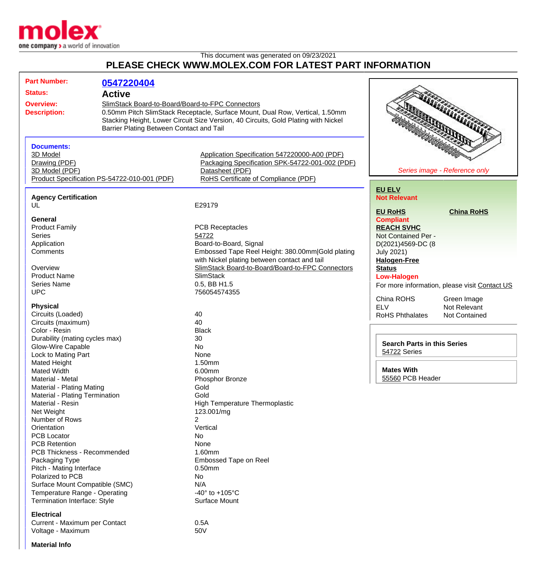

## This document was generated on 09/23/2021 **PLEASE CHECK WWW.MOLEX.COM FOR LATEST PART INFORMATION**

| <b>Part Number:</b>            | 0547220404                                                                                                                       |                                                                                    |                                                |
|--------------------------------|----------------------------------------------------------------------------------------------------------------------------------|------------------------------------------------------------------------------------|------------------------------------------------|
| <b>Status:</b>                 | <b>Active</b>                                                                                                                    |                                                                                    |                                                |
|                                |                                                                                                                                  |                                                                                    |                                                |
| <b>Overview:</b>               | SlimStack Board-to-Board/Board-to-FPC Connectors<br>0.50mm Pitch SlimStack Receptacle, Surface Mount, Dual Row, Vertical, 1.50mm |                                                                                    |                                                |
| <b>Description:</b>            |                                                                                                                                  | Stacking Height, Lower Circuit Size Version, 40 Circuits, Gold Plating with Nickel |                                                |
|                                | Barrier Plating Between Contact and Tail                                                                                         |                                                                                    |                                                |
|                                |                                                                                                                                  |                                                                                    |                                                |
|                                |                                                                                                                                  |                                                                                    |                                                |
| <b>Documents:</b>              |                                                                                                                                  |                                                                                    |                                                |
| 3D Model<br>Drawing (PDF)      |                                                                                                                                  | Application Specification 547220000-A00 (PDF)                                      |                                                |
|                                |                                                                                                                                  | Packaging Specification SPK-54722-001-002 (PDF)<br>Datasheet (PDF)                 | Series image - Reference only                  |
| 3D Model (PDF)                 | Product Specification PS-54722-010-001 (PDF)                                                                                     | RoHS Certificate of Compliance (PDF)                                               |                                                |
|                                |                                                                                                                                  |                                                                                    |                                                |
|                                |                                                                                                                                  |                                                                                    | <b>EU ELV</b>                                  |
| <b>Agency Certification</b>    |                                                                                                                                  |                                                                                    | <b>Not Relevant</b>                            |
| UL                             |                                                                                                                                  | E29179                                                                             | <b>China RoHS</b><br><b>EU RoHS</b>            |
| General                        |                                                                                                                                  |                                                                                    | <b>Compliant</b>                               |
| <b>Product Family</b>          |                                                                                                                                  | <b>PCB Receptacles</b>                                                             | <b>REACH SVHC</b>                              |
| <b>Series</b>                  |                                                                                                                                  | 54722                                                                              | Not Contained Per -                            |
| Application                    |                                                                                                                                  | Board-to-Board, Signal                                                             | D(2021)4569-DC (8                              |
| Comments                       |                                                                                                                                  | Embossed Tape Reel Height: 380.00mm Gold plating                                   | <b>July 2021)</b>                              |
|                                |                                                                                                                                  | with Nickel plating between contact and tail                                       | <b>Halogen-Free</b>                            |
| Overview                       |                                                                                                                                  | SlimStack Board-to-Board/Board-to-FPC Connectors                                   | <b>Status</b>                                  |
| <b>Product Name</b>            |                                                                                                                                  | <b>SlimStack</b>                                                                   | <b>Low-Halogen</b>                             |
| <b>Series Name</b>             |                                                                                                                                  | 0.5, BB H1.5                                                                       |                                                |
| <b>UPC</b>                     |                                                                                                                                  | 756054574355                                                                       | For more information, please visit Contact US  |
|                                |                                                                                                                                  |                                                                                    | China ROHS<br>Green Image                      |
| <b>Physical</b>                |                                                                                                                                  |                                                                                    | <b>ELV</b><br>Not Relevant                     |
| Circuits (Loaded)              |                                                                                                                                  | 40                                                                                 | <b>RoHS Phthalates</b><br><b>Not Contained</b> |
| Circuits (maximum)             |                                                                                                                                  | 40                                                                                 |                                                |
| Color - Resin                  |                                                                                                                                  | <b>Black</b>                                                                       |                                                |
| Durability (mating cycles max) |                                                                                                                                  | 30                                                                                 |                                                |
| Glow-Wire Capable              |                                                                                                                                  | No                                                                                 | <b>Search Parts in this Series</b>             |
| Lock to Mating Part            |                                                                                                                                  | None                                                                               | 54722 Series                                   |
| <b>Mated Height</b>            |                                                                                                                                  | 1.50mm                                                                             |                                                |
| <b>Mated Width</b>             |                                                                                                                                  | 6.00mm                                                                             | <b>Mates With</b>                              |
| Material - Metal               |                                                                                                                                  | Phosphor Bronze                                                                    | 55560 PCB Header                               |
| Material - Plating Mating      |                                                                                                                                  | Gold                                                                               |                                                |
| Material - Plating Termination |                                                                                                                                  | Gold                                                                               |                                                |
| Material - Resin               |                                                                                                                                  | <b>High Temperature Thermoplastic</b>                                              |                                                |
| Net Weight                     |                                                                                                                                  | 123.001/mg                                                                         |                                                |
| Number of Rows                 |                                                                                                                                  | 2                                                                                  |                                                |
| Orientation                    |                                                                                                                                  | Vertical                                                                           |                                                |
| <b>PCB Locator</b>             |                                                                                                                                  | No.                                                                                |                                                |
| <b>PCB Retention</b>           |                                                                                                                                  | None                                                                               |                                                |
| PCB Thickness - Recommended    |                                                                                                                                  | 1.60mm                                                                             |                                                |
| Packaging Type                 |                                                                                                                                  | Embossed Tape on Reel                                                              |                                                |
| Pitch - Mating Interface       |                                                                                                                                  | $0.50$ mm                                                                          |                                                |
| Polarized to PCB               |                                                                                                                                  | No.                                                                                |                                                |
| Surface Mount Compatible (SMC) |                                                                                                                                  | N/A                                                                                |                                                |
| Temperature Range - Operating  |                                                                                                                                  | -40 $\degree$ to +105 $\degree$ C                                                  |                                                |
| Termination Interface: Style   |                                                                                                                                  | Surface Mount                                                                      |                                                |
| <b>Electrical</b>              |                                                                                                                                  |                                                                                    |                                                |

Current - Maximum per Contact<br>Voltage - Maximum contact 600 m Voltage - Maximum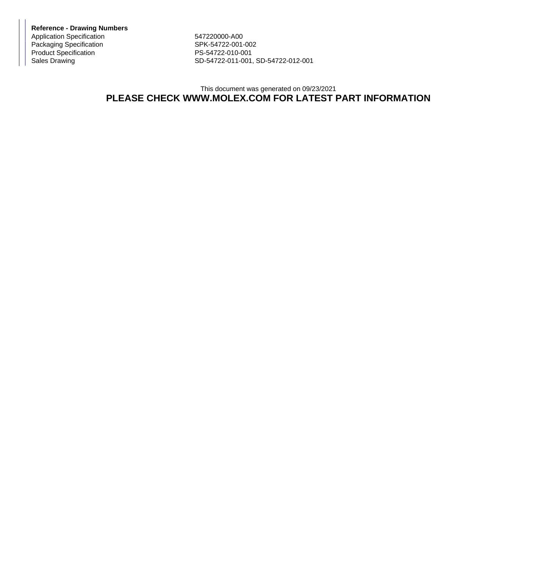**Reference - Drawing Numbers** Application Specification<br>
Packaging Specification<br>
SPK-54722-001-002 Packaging Specification Product Specification PS-54722-010-001

Sales Drawing Sales Drawing SD-54722-011-001, SD-54722-012-001

## This document was generated on 09/23/2021 **PLEASE CHECK WWW.MOLEX.COM FOR LATEST PART INFORMATION**